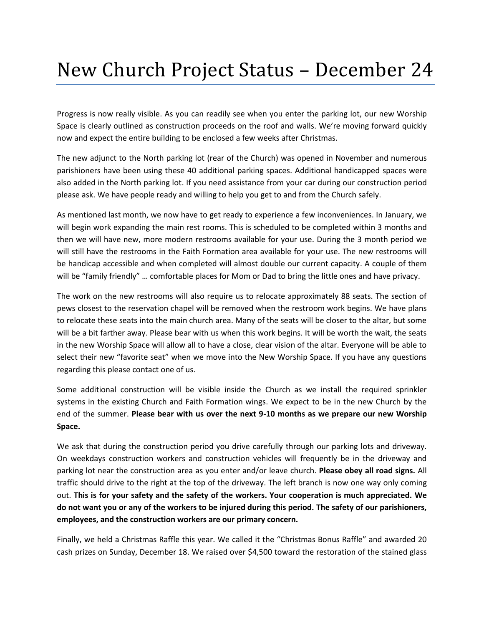## New Church Project Status – December 24

Progress is now really visible. As you can readily see when you enter the parking lot, our new Worship Space is clearly outlined as construction proceeds on the roof and walls. We're moving forward quickly now and expect the entire building to be enclosed a few weeks after Christmas.

The new adjunct to the North parking lot (rear of the Church) was opened in November and numerous parishioners have been using these 40 additional parking spaces. Additional handicapped spaces were also added in the North parking lot. If you need assistance from your car during our construction period please ask. We have people ready and willing to help you get to and from the Church safely.

As mentioned last month, we now have to get ready to experience a few inconveniences. In January, we will begin work expanding the main rest rooms. This is scheduled to be completed within 3 months and then we will have new, more modern restrooms available for your use. During the 3 month period we will still have the restrooms in the Faith Formation area available for your use. The new restrooms will be handicap accessible and when completed will almost double our current capacity. A couple of them will be "family friendly" … comfortable places for Mom or Dad to bring the little ones and have privacy.

The work on the new restrooms will also require us to relocate approximately 88 seats. The section of pews closest to the reservation chapel will be removed when the restroom work begins. We have plans to relocate these seats into the main church area. Many of the seats will be closer to the altar, but some will be a bit farther away. Please bear with us when this work begins. It will be worth the wait, the seats in the new Worship Space will allow all to have a close, clear vision of the altar. Everyone will be able to select their new "favorite seat" when we move into the New Worship Space. If you have any questions regarding this please contact one of us.

Some additional construction will be visible inside the Church as we install the required sprinkler systems in the existing Church and Faith Formation wings. We expect to be in the new Church by the end of the summer. **Please bear with us over the next 9-10 months as we prepare our new Worship Space.**

We ask that during the construction period you drive carefully through our parking lots and driveway. On weekdays construction workers and construction vehicles will frequently be in the driveway and parking lot near the construction area as you enter and/or leave church. **Please obey all road signs.** All traffic should drive to the right at the top of the driveway. The left branch is now one way only coming out. **This is for your safety and the safety of the workers. Your cooperation is much appreciated. We do not want you or any of the workers to be injured during this period. The safety of our parishioners, employees, and the construction workers are our primary concern.**

Finally, we held a Christmas Raffle this year. We called it the "Christmas Bonus Raffle" and awarded 20 cash prizes on Sunday, December 18. We raised over \$4,500 toward the restoration of the stained glass